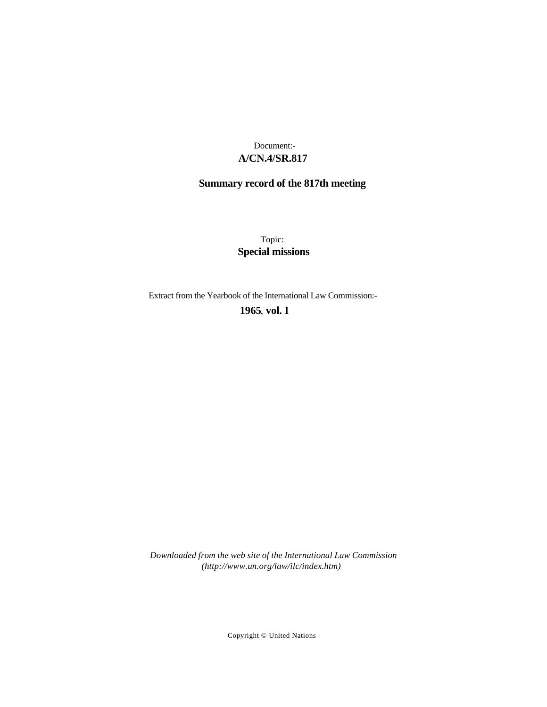## **A/CN.4/SR.817** Document:-

## **Summary record of the 817th meeting**

Topic: **Special missions**

Extract from the Yearbook of the International Law Commission:-

**1965** , **vol. I**

*Downloaded from the web site of the International Law Commission (http://www.un.org/law/ilc/index.htm)*

Copyright © United Nations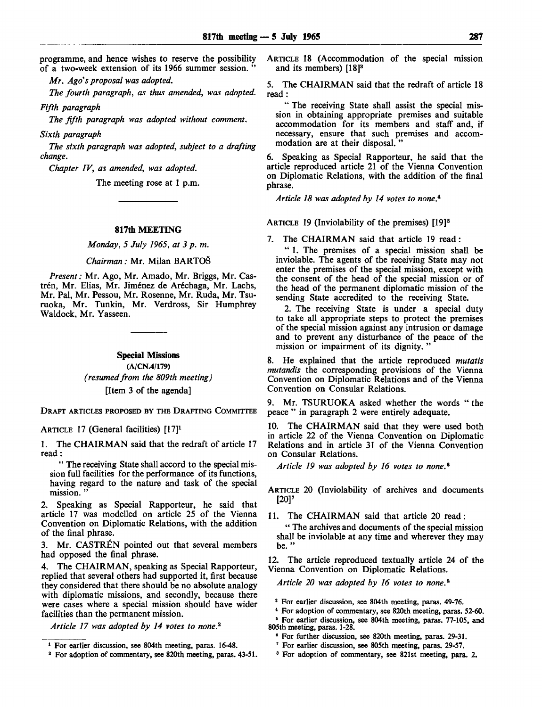programme, and hence wishes to reserve the possibility of a two-week extension of its 1966 summer session. "

*Mr. Ago's proposal was adopted.*

*The fourth paragraph, as thus amended, was adopted.*

*Fifth paragraph*

*The fifth paragraph was adopted without comment.*

*Sixth paragraph*

*The sixth paragraph was adopted, subject to a drafting change.*

*Chapter IV, as amended, was adopted.*

The meeting rose at 1 p.m.

## **817th MEETING**

*Monday, 5 July 1965, at 3 p. m.*

*Chairman:* Mr. Milan BARTOS

*Present:* Mr. Ago, Mr. Amado, Mr. Briggs, Mr. Castrén, Mr. Elias, Mr. Jiménez de Aréchaga, Mr. Lachs, Mr. Pal, Mr. Pessou, Mr. Rosenne, Mr. Ruda, Mr. Tsuruoka, Mr. Tunkin, Mr. Verdross, Sir Humphrey Waldock, Mr. Yasseen.

> **Special Missions** (A/CN.4/179) *(resumed from the 809th meeting)* [Item 3 of the agenda]

DRAFT ARTICLES PROPOSED BY THE DRAFTING COMMITTEE

ARTICLE 17 (General facilities) [17]<sup>1</sup>

1. The CHAIRMAN said that the redraft of article 17 read :

" The receiving State shall accord to the special mission full facilities for the performance of its functions, having regard to the nature and task of the special mission. "

2. Speaking as Special Rapporteur, he said that article 17 was modelled on article 25 of the Vienna Convention on Diplomatic Relations, with the addition of the final phrase.

3. Mr. CASTREN pointed out that several members had opposed the final phrase.

4. The CHAIRMAN, speaking as Special Rapporteur, replied that several others had supported it, first because they considered that there should be no absolute analogy with diplomatic missions, and secondly, because there were cases where a special mission should have wider facilities than the permanent mission.

*Article 17 was adopted by 14 votes to none. 2*

ARTICLE 18 (Accommodation of the special mission and its members) [18]<sup>3</sup>

5. The CHAIRMAN said that the redraft of article 18 read:

" The receiving State shall assist the special mission in obtaining appropriate premises and suitable accommodation for its members and staff and, if necessary, ensure that such premises and accommodation are at their disposal. "

6. Speaking as Special Rapporteur, he said that the article reproduced article 21 of the Vienna Convention on Diplomatic Relations, with the addition of the final phrase.

*Article 18 was adopted by 14 votes to none. 4 '*

ARTICLE 19 (Inviolability of the premises) [19]<sup>5</sup>

7. The CHAIRMAN said that article 19 read:

" 1. The premises of a special mission shall be inviolable. The agents of the receiving State may not enter the premises of the special mission, except with the consent of the head of the special mission or of the head of the permanent diplomatic mission of the sending State accredited to the receiving State.

2. The receiving State is under a special duty to take all appropriate steps to protect the premises of the special mission against any intrusion or damage and to prevent any disturbance of the peace of the mission or impairment of its dignity.

8. He explained that the article reproduced *mutatis mutandis* the corresponding provisions of the Vienna Convention on Diplomatic Relations and of the Vienna Convention on Consular Relations.

9. Mr. TSURUOKA asked whether the words " the peace " in paragraph 2 were entirely adequate.

10. The CHAIRMAN said that they were used both in article 22 of the Vienna Convention on Diplomatic Relations and in article 31 of the Vienna Convention on Consular Relations.

*Article 19 was adopted by 16 votes to none. 9*

ARTICLE 20 (Inviolability of archives and documents [20]'

11. The CHAIRMAN said that article 20 read:

" The archives and documents of the special mission shall be inviolable at any time and wherever they may be. "

12. The article reproduced textually article 24 of the Vienna Convention on Diplomatic Relations.

*Article 20 was adopted by 16 votes to none. 6*

<sup>1</sup> For earlier discussion, see 804th meeting, paras. 16-48.

<sup>2</sup> For adoption of commentary, see 820th meeting, paras. 43-51.

<sup>3</sup> For earlier discussion, see 804th meeting, paras. 49-76.

<sup>\*</sup> For adoption of commentary, see 820th meeting, paras. 52-60.

<sup>5</sup> For earlier discussion, see 804th meeting, paras. 77-105, and 805th meeting, paras. 1-28.

<sup>6</sup> For further discussion, see 820th meeting, paras. 29-31.

<sup>7</sup> For earlier discussion, see 805th meeting, paras. 29-57.

<sup>8</sup> For adoption of commentary, see 821st meeting, para. 2.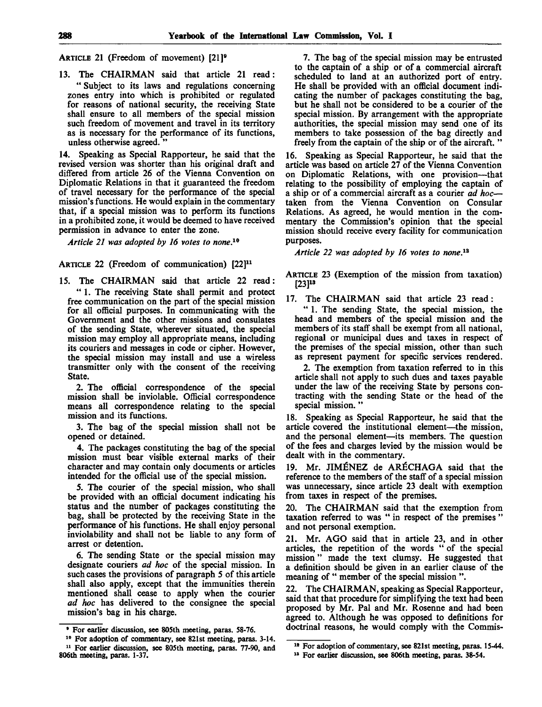ARTICLE 21 (Freedom of movement) [21]<sup>9</sup>

13. The CHAIRMAN said that article 21 read: " Subject to its laws and regulations concerning zones entry into which is prohibited or regulated for reasons of national security, the receiving State shall ensure to all members of the special mission such freedom of movement and travel in its territory as is necessary for the performance of its functions, unless otherwise agreed. "

14. Speaking as Special Rapporteur, he said that the revised version was shorter than his original draft and differed from article 26 of the Vienna Convention on Diplomatic Relations in that it guaranteed the freedom of travel necessary for the performance of the special mission's functions. He would explain in the commentary that, if a special mission was to perform its functions in a prohibited zone, it would be deemed to have received permission in advance to enter the zone.

*Article 21 was adopted by 16 votes to none. 19*

ARTICLE 22 (Freedom of communication) [22]<sup>11</sup>

15. The CHAIRMAN said that article 22 read: " 1. The receiving State shall permit and protect free communication on the part of the special mission for all official purposes. In communicating with the Government and the other missions and consulates of the sending State, wherever situated, the special mission may employ all appropriate means, including its couriers and messages in code or cipher. However, the special mission may install and use a wireless transmitter only with the consent of the receiving State.

2. The official correspondence of the special mission shall be inviolable. Official correspondence means all correspondence relating to the special mission and its functions.

3. The bag of the special mission shall not be opened or detained.

4. The packages constituting the bag of the special mission must bear visible external marks of their character and may contain only documents or articles intended for the official use of the special mission.

5. The courier of the special mission, who shall be provided with an official document indicating his status and the number of packages constituting the bag, shall be protected by the receiving State in the performance of his functions. He shall enjoy personal inviolability and shall not be liable to any form of arrest or detention.

6. The sending State or the special mission may designate couriers *ad hoc* of the special mission. In such cases the provisions of paragraph 5 of this article shall also apply, except that the immunities therein mentioned shall cease to apply when the courier *ad hoc* has delivered to the consignee the special mission's bag in his charge.

7. The bag of the special mission may be entrusted to the captain of a ship or of a commercial aircraft scheduled to land at an authorized port of entry. He shall be provided with an official document indicating the number of packages constituting the bag, but he shall not be considered to be a courier of the special mission. By arrangement with the appropriate authorities, the special mission may send one of its members to take possession of the bag directly and freely from the captain of the ship or of the aircraft. "

16. Speaking as Special Rapporteur, he said that the article was based on article 27 of the Vienna Convention on Diplomatic Relations, with one provision—that relating to the possibility of employing the captain of a ship or of a commercial aircraft as a courier *ad hoc* taken from the Vienna Convention on Consular Relations. As agreed, he would mention in the commentary the Commission's opinion that the special mission should receive every facility for communication purposes.

*Article 22 was adopted by 16 votes to none. 12*

ARTICLE 23 (Exemption of the mission from taxation)  $[23]$ <sup>13</sup>

17. The CHAIRMAN said that article 23 read:

" 1. The sending State, the special mission, the head and members of the special mission and the members of its staff shall be exempt from all national, regional or municipal dues and taxes in respect of the premises of the special mission, other than such as represent payment for specific services rendered.

2. The exemption from taxation referred to in this article shall not apply to such dues and taxes payable under the law of the receiving State by persons contracting with the sending State or the head of the special mission."

18. Speaking as Special Rapporteur, he said that the article covered the institutional element—the mission, and the personal element—its members. The question of the fees and charges levied by the mission would be dealt with in the commentary.

19. Mr. JIMENEZ de ARECHAGA said that the reference to the members of the staff of a special mission was unnecessary, since article 23 dealt with exemption from taxes in respect of the premises.

20. The CHAIRMAN said that the exemption from taxation referred to was " in respect of the premises " and not personal exemption.

21. Mr. AGO said that in article 23, and in other articles, the repetition of the words " of the special mission" made the text clumsy. He suggested that a definition should be given in an earlier clause of the meaning of " member of the special mission".

22. The CHAIRMAN, speaking as Special Rapporteur, said that that procedure for simplifying the text had been proposed by Mr. Pal and Mr. Rosenne and had been agreed to. Although he was opposed to definitions for doctrinal reasons, he would comply with the Commis-

**<sup>•</sup> For earlier discussion, see 805th meeting, paras. 58-76.**

**<sup>10</sup> For adoption of commentary, see 821st meeting, paras. 3-14. 11 For earlier discussion, see 805th meeting, paras. 77-90, and 806th meeting, paras. 1-37.**

**<sup>18</sup> For adoption of commentary, see 821st meeting, paras. 15-44.**

**<sup>13</sup> For earlier discussion, see 806th meeting, paras. 38-54.**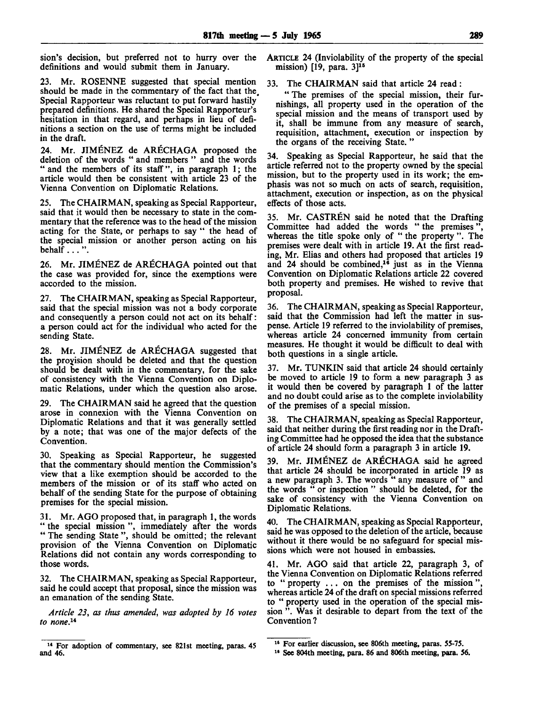sion's decision, but preferred not to hurry over the definitions and would submit them in January.

23. Mr. ROSENNE suggested that special mention should be made in the commentary of the fact that the. Special Rapporteur was reluctant to put forward hastily prepared definitions. He shared the Special Rapporteur's hesitation in that regard, and perhaps in lieu of definitions a section on the use of terms might be included in the draft.

Mr. JIMÉNEZ de ARÉCHAGA proposed the deletion of the words " and members " and the words " and the members of its staff", in paragraph 1; the article would then be consistent with article 23 of the Vienna Convention on Diplomatic Relations.

25. The CHAIRMAN, speaking as Special Rapporteur, said that it would then be necessary to state in the commentary that the reference was to the head of the mission acting for the State, or perhaps to say " the head of the special mission or another person acting on his behalf  $\ldots$ ".

26. Mr. JIMENEZ de ARECHAGA pointed out that the case was provided for, since the exemptions were accorded to the mission.

27. The CHAIRMAN, speaking as Special Rapporteur, said that the special mission was not a body corporate and consequently a person could not act on its behalf: a person could act for the individual who acted for the sending State.

28. Mr. JIMENEZ de ARECHAGA suggested that the provision should be deleted and that the question should be dealt with in the commentary, for the sake of consistency with the Vienna Convention on Diplomatic Relations, under which the question also arose.

29. The CHAIRMAN said he agreed that the question arose in connexion with the Vienna Convention on Diplomatic Relations and that it was generally settled by a note; that was one of the major defects of the Convention.

30. Speaking as Special Rapporteur, he suggested that the commentary should mention the Commission's view that a like exemption should be accorded to the members of the mission or of its staff who acted on behalf of the sending State for the purpose of obtaining premises for the special mission.

31. Mr. AGO proposed that, in paragraph 1, the words " the special mission", immediately after the words " The sending State", should be omitted; the relevant provision of the Vienna Convention on Diplomatic Relations did not contain any words corresponding to those words.

32. The CHAIRMAN, speaking as Special Rapporteur, said he could accept that proposal, since the mission was an emanation of the sending State.

*Article 23, as thus amended, was adopted by 16 votes to none. 1 \**

ARTICLE 24 (Inviolability of the property of the special mission)  $[19, \text{ para. } 3]$ <sup>15</sup>

33. The CHAIRMAN said that article 24 read:

" The premises of the special mission, their furnishings, all property used in the operation of the special mission and the means of transport used by it, shall be immune from any measure of search, requisition, attachment, execution or inspection by the organs of the receiving State. "

34. Speaking as Special Rapporteur, he said that the article referred not to the property owned by the special mission, but to the property used in its work; the emphasis was not so much on acts of search, requisition, attachment, execution or inspection, as on the physical effects of those acts.

35. Mr. CASTREN said he noted that the Drafting Committee had added the words " the premises", whereas the title spoke only of " the property ". The premises were dealt with in article 19. At the first reading, Mr. Elias and others had proposed that articles 19 and 24 should be combined,<sup>16</sup> just as in the Vienna Convention on Diplomatic Relations article 22 covered both property and premises. He wished to revive that proposal.

36. The CHAIRMAN, speaking as Special Rapporteur, said that the Commission had left the matter in suspense. Article 19 referred to the inviolability of premises, whereas article 24 concerned immunity from certain measures. He thought it would be difficult to deal with both questions in a single article.

37. Mr. TUNKIN said that article 24 should certainly be moved to article 19 to form a new paragraph 3 as it would then be covered by paragraph 1 of the latter and no doubt could arise as to the complete inviolability of the premises of a special mission.

38. The CHAIRMAN, speaking as Special Rapporteur, said that neither during the first reading nor in the Drafting Committee had he opposed the idea that the substance of article 24 should form a paragraph 3 in article 19.

39. Mr. JIMENEZ de ARECHAGA said he agreed that article 24 should be incorporated in article 19 as a new paragraph 3. The words " any measure of " and the words " or inspection " should be deleted, for the sake of consistency with the Vienna Convention on Diplomatic Relations.

40. The CHAIRMAN, speaking as Special Rapporteur, said he was opposed to the deletion of the article, because without it there would be no safeguard for special missions which were not housed in embassies.

41. Mr. AGO said that article 22, paragraph 3, of the Vienna Convention on Diplomatic Relations referred to " property .. . on the premises of the mission ", whereas article 24 of the draft on special missions referred to " property used in the operation of the special mission ". Was it desirable to depart from the text of the Convention ?

 $\frac{14}{14}$  For adoption of commentary, see 821st meeting, paras. 45 <sup>15</sup> For ear and 46. **The Contract of the Section of the Section** 1<sup>t</sup> See 804th meeting, para. 86 and 806th meeting, para. 56.

lier discussion, see 806th meeting, paras. 55-75.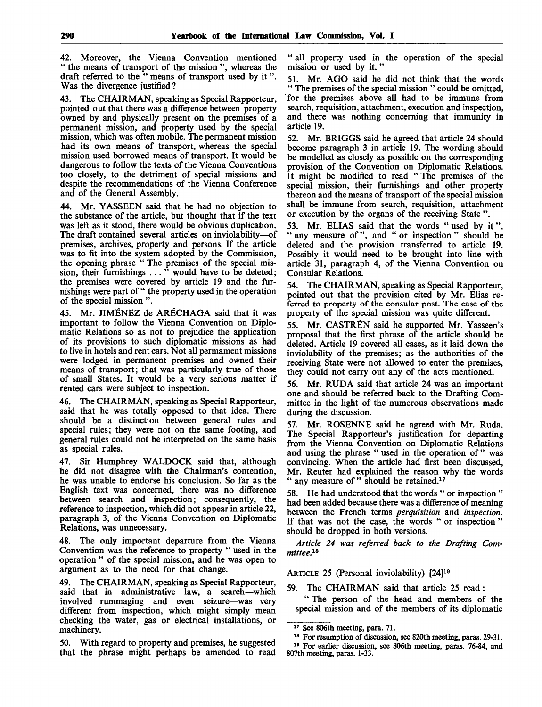42. Moreover, the Vienna Convention mentioned " the means of transport of the mission ", whereas the draft referred to the " means of transport used by it". Was the divergence justified?

43. The CHAIRMAN, speaking as Special Rapporteur, pointed out that there was a difference between property owned by and physically present on the premises of a permanent mission, and property used by the special mission, which was often mobile. The permanent mission had its own means of transport, whereas the special mission used borrowed means of transport. It would be dangerous to follow the texts of the Vienna Conventions too closely, to the detriment of special missions and despite the recommendations of the Vienna Conference and of the General Assembly.

44. Mr. YASSEEN said that he had no objection to the substance of the article, but thought that if the text was left as it stood, there would be obvious duplication. The draft contained several articles on inviolability—of premises, archives, property and persons. If the article was to fit into the system adopted by the Commission, the opening phrase " The premises of the special mission, their furnishings ... " would have to be deleted; the premises were covered by article 19 and the furnishings were part of " the property used in the operation of the special mission ".

45. Mr. JIMENEZ de ARECHAGA said that it was important to follow the Vienna Convention on Diplomatic Relations so as not to prejudice the application of its provisions to such diplomatic missions as had to live in hotels and rent cars. Not all permament missions were lodged in permanent premises and owned their means of transport; that was particularly true of those of small States. It would be a very serious matter if rented cars were subject to inspection.

46. The CHAIRMAN, speaking as Special Rapporteur, said that he was totally opposed to that idea. There should be a distinction between general rules and special rules; they were not on the same footing, and general rules could not be interpreted on the same basis as special rules.

47. Sir Humphrey WALDOCK said that, although he did not disagree with the Chairman's contention, he was unable to endorse his conclusion. So far as the English text was concerned, there was no difference between search and inspection; consequently, the reference to inspection, which did not appear in article 22, paragraph 3, of the Vienna Convention on Diplomatic Relations, was unnecessary.

48. The only important departure from the Vienna Convention was the reference to property " used in the operation " of the special mission, and he was open to argument as to the need for that change.

49. The CHAIRMAN, speaking as Special Rapporteur, said that in administrative law, a search—which involved rummaging and even seizure—was very different from inspection, which might simply mean checking the water, gas or electrical installations, or machinery.

50. With regard to property and premises, he suggested that the phrase might perhaps be amended to read " all property used in the operation of the special mission or used by it.'

51. Mr. AGO said he did not think that the words " The premises of the special mission " could be omitted, for the premises above all had to be immune from search, requisition, attachment, execution and inspection, and there was nothing concerning that immunity in article 19.

52. Mr. BRIGGS said he agreed that article 24 should become paragraph 3 in article 19. The wording should be modelled as closely as possible on the corresponding provision of the Convention on Diplomatic Relations. It might be modified to read " The premises of the special mission, their furnishings and other property thereon and the means of transport of the special mission shall be immune from search, requisition, attachment or execution by the organs of the receiving State ".

53. Mr. ELIAS said that the words "used by it", " any measure of", and " or inspection " should be deleted and the provision transferred to article 19. Possibly it would need to be brought into line with article 31, paragraph 4, of the Vienna Convention on Consular Relations.

54. The CHAIRMAN, speaking as Special Rapporteur, pointed out that the provision cited by Mr. Elias referred to property of the consular post. The case of the property of the special mission was quite different.

55. Mr. CASTREN said he supported Mr. Yasseen's proposal that the first phrase of the article should be deleted. Article 19 covered all cases, as it laid down the inviolability of the premises; as the authorities of the receiving State were not allowed to enter the premises, they could not carry out any of the acts mentioned.

56. Mr. RUDA said that article 24 was an important one and should be referred back to the Drafting Committee in the light of the numerous observations made during the discussion.

57. Mr. ROSENNE said he agreed with Mr. Ruda. The Special Rapporteur's justification for departing from the Vienna Convention on Diplomatic Relations and using the phrase " used in the operation of " was convincing. When the article had first been discussed, Mr. Reuter had explained the reason why the words any measure of " should be retained.<sup>17</sup>

58. He had understood that the words " or inspection " had been added because there was a difference of meaning between the French terms *perquisition* and *inspection.* If that was not the case, the words " or inspection " should be dropped in both versions.

*Article 24 was referred back to the Drafting Committee.^*

ARTICLE 25 (Personal inviolability) [24]<sup>19</sup>

59. The CHAIRMAN said that article 25 read:

" The person of the head and members of the special mission and of the members of its diplomatic

<sup>17</sup> See 806th meeting, para. 71.

<sup>18</sup> For resumption of discussion, see 820th meeting, paras. 29-31.

<sup>19</sup> For earlier discussion, see 806th meeting, paras. 76-84, and 807th meeting, paras. 1-33.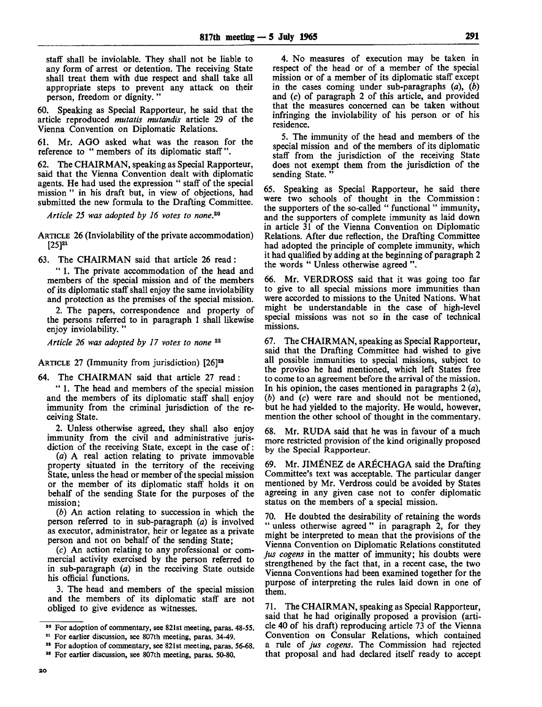staff shall be inviolable. They shall not be liable to any form of arrest or detention. The receiving State shall treat them with due respect and shall take all appropriate steps to prevent any attack on their person, freedom or dignity. "

60. Speaking as Special Rapporteur, he said that the article reproduced *mutatis mutandis* article 29 of the Vienna Convention on Diplomatic Relations.

61. Mr. AGO asked what was the reason for the reference to " members of its diplomatic staff".

62. The CHAIRMAN, speaking as Special Rapporteur, said that the Vienna Convention dealt with diplomatic agents. He had used the expression " staff of the special mission " in his draft but, in view of objections, had submitted the new formula to the Drafting Committee.

*Article 25 was adopted by 16 votes to none.™*

ARTICLE 26 (Inviolability of the private accommodation)  $[25]^{21}$ 

63. The CHAIRMAN said that article 26 read:

" 1. The private accommodation of the head and members of the special mission and of the members of its diplomatic staff shall enjoy the same inviolability and protection as the premises of the special mission.

2. The papers, correspondence and property of the persons referred to in paragraph 1 shall likewise enjoy inviolability.'

Article 26 was adopted by 17 votes to none<sup>22</sup>

ARTICLE 27 (Immunity from jurisdiction) [26]<sup>23</sup>

64. The CHAIRMAN said that article 27 read:

" 1. The head and members of the special mission and the members of its diplomatic staff shall enjoy immunity from the criminal jurisdiction of the receiving State.

2. Unless otherwise agreed, they shall also enjoy immunity from the civil and administrative jurisdiction of the receiving State, except in the case of:

(a) A real action relating to private immovable property situated in the territory of the receiving State, unless the head or member of the special mission or the member of its diplomatic staff holds it on behalf of the sending State for the purposes of the mission;

(b) An action relating to succession in which the person referred to in sub-paragraph *(a)* is involved as executor, administrator, heir or legatee as a private person and not on behalf of the sending State;

(c) An action relating to any professional or commercial activity exercised by the person referred to in sub-paragraph *(a)* in the receiving State outside his official functions.

3. The head and members of the special mission and the members of its diplomatic staff are not obliged to give evidence as witnesses.

4. No measures of execution may be taken in respect of the head or of a member of the special mission or of a member of its diplomatic staff except in the cases coming under sub-paragraphs *(a), (b)* and (c) of paragraph 2 of this article, and provided that the measures concerned can be taken without infringing the inviolability of his person or of his residence.

5. The immunity of the head and members of the special mission and of the members of its diplomatic staff from the jurisdiction of the receiving State does not exempt them from the jurisdiction of the sending State.

65. Speaking as Special Rapporteur, he said there were two schools of thought in the Commission: the supporters of the so-called " functional " immunity, and the supporters of complete immunity as laid down in article 31 of the Vienna Convention on Diplomatic Relations. After due reflection, the Drafting Committee had adopted the principle of complete immunity, which it had qualified by adding at the beginning of paragraph 2 the words " Unless otherwise agreed ".

66. Mr. VERDROSS said that it was going too far to give to all special missions more immunities than were accorded to missions to the United Nations. What might be understandable in the case of high-level special missions was not so in the case of technical missions.

67. The CHAIRMAN, speaking as Special Rapporteur, said that the Drafting Committee had wished to give all possible immunities to special missions, subject to the proviso he had mentioned, which left States free to come to an agreement before the arrival of the mission. In his opinion, the cases mentioned in paragraphs 2 *(a), (b)* and (c) were rare and should not be mentioned, but he had yielded to the majority. He would, however, mention the other school of thought in the commentary.

68. Mr. RUDA said that he was in favour of a much more restricted provision of the kind originally proposed by the Special Rapporteur.

69. Mr. JIMENEZ de ARECHAGA said the Drafting Committee's text was acceptable. The particular danger mentioned by Mr. Verdross could be avoided by States agreeing in any given case not to confer diplomatic status on the members of a special mission.

70. He doubted the desirability of retaining the words " unless otherwise agreed " in paragraph 2, for they might be interpreted to mean that the provisions of the Vienna Convention on Diplomatic Relations constituted *jus cogens* in the matter of immunity; his doubts were strengthened by the fact that, in a recent case, the two Vienna Conventions had been examined together for the purpose of interpreting the rules laid down in one of them.

71. The CHAIRMAN, speaking as Special Rapporteur, said that he had originally proposed a provision (article 40 of his draft) reproducing article 73 of the Vienna Convention on Consular Relations, which contained a rule of *jus cogens.* The Commission had rejected that proposal and had declared itself ready to accept

<sup>&</sup>lt;sup>20</sup> For adoption of commentary, see 821st meeting, paras. 48-55.

<sup>&</sup>lt;sup>21</sup> For earlier discussion, see 807th meeting, paras. 34-49.

<sup>&</sup>lt;sup>22</sup> For adoption of commentary, see 821st meeting, paras. 56-68.

<sup>28</sup> For earlier discussion, see 807th meeting, paras. 50-80.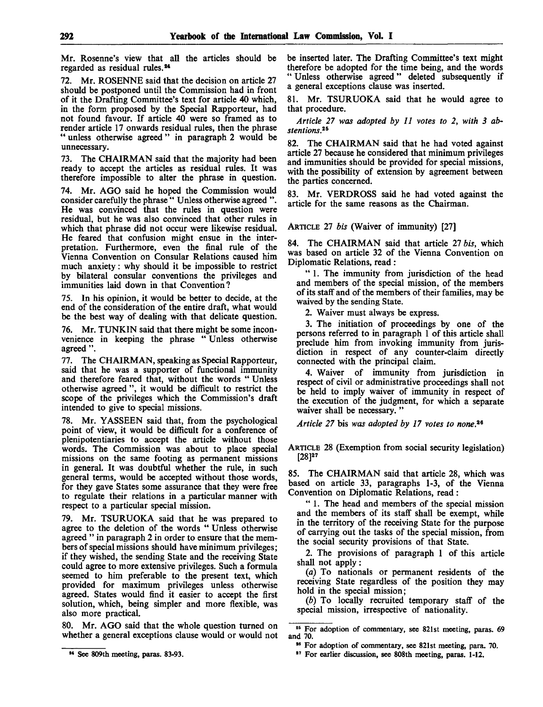Mr. Rosenne's view that all the articles should be regarded as residual rules.<sup>24</sup>

72. Mr. ROSENNE said that the decision on article 27 should be postponed until the Commission had in front of it the Drafting Committee's text for article 40 which, in the form proposed by the Special Rapporteur, had not found favour. If article 40 were so framed as to render article 17 onwards residual rules, then the phrase " unless otherwise agreed " in paragraph 2 would be unnecessary.

73. The CHAIRMAN said that the majority had been ready to accept the articles as residual rules. It was therefore impossible to alter the phrase in question.

74. Mr. AGO said he hoped the Commission would consider carefully the phrase " Unless otherwise agreed ". He was convinced that the rules in question were residual, but he was also convinced that other rules in which that phrase did not occur were likewise residual. He feared that confusion might ensue in the interpretation. Furthermore, even the final rule of the Vienna Convention on Consular Relations caused him much anxiety: why should it be impossible to restrict by bilateral consular conventions the privileges and immunities laid down in that Convention?

75. In his opinion, it would be better to decide, at the end of the consideration of the entire draft, what would be the best way of dealing with that delicate question.

76. Mr. TUNKIN said that there might be some inconvenience in keeping the phrase " Unless otherwise agreed ".

77. The CHAIRMAN, speaking as Special Rapporteur, said that he was a supporter of functional immunity and therefore feared that, without the words " Unless otherwise agreed ", it would be difficult to restrict the scope of the privileges which the Commission's draft intended to give to special missions.

78. Mr. YASSEEN said that, from the psychological point of view, it would be difficult for a conference of plenipotentiaries to accept the article without those words. The Commission was about to place special missions on the same footing as permanent missions in general. It was doubtful whether the rule, in such general terms, would be accepted without those words, for they gave States some assurance that they were free to regulate their relations in a particular manner with respect to a particular special mission.

79. Mr. TSURUOKA said that he was prepared to agree to the deletion of the words " Unless otherwise agreed " in paragraph 2 in order to ensure that the members of special missions should have minimum privileges; if they wished, the sending State and the receiving State could agree to more extensive privileges. Such a formula seemed to him preferable to the present text, which provided for maximum privileges unless otherwise agreed. States would find it easier to accept the first solution, which, being simpler and more flexible, was also more practical.

80. Mr. AGO said that the whole question turned on whether a general exceptions clause would or would not be inserted later. The Drafting Committee's text might therefore be adopted for the time being, and the words " Unless otherwise agreed " deleted subsequently if a general exceptions clause was inserted.

81. Mr. TSURUOKA said that he would agree to that procedure.

*Article 27 was adopted by 11 votes to 2, with 3 abstentions.<sup>26</sup>*

82. The CHAIRMAN said that he had voted against article 27 because he considered that minimum privileges and immunities should be provided for special missions, with the possibility of extension by agreement between the parties concerned.

83. Mr. VERDROSS said he had voted against the article for the same reasons as the Chairman.

ARTICLE 27 *bis* (Waiver of immunity) [27]

84. The CHAIRMAN said that article *21 bis,* which was based on article 32 of the Vienna Convention on Diplomatic Relations, read:

" 1. The immunity from jurisdiction of the head and members of the special mission, of the members of its staff and of the members of their families, may be waived by the sending State.

2. Waiver must always be express.

3. The initiation of proceedings by one of the persons referred to in paragraph 1 of this article shall preclude him from invoking immunity from jurisdiction in respect of any counter-claim directly connected with the principal claim.

4. Waiver of immunity from jurisdiction in respect of civil or administrative proceedings shall not be held to imply waiver of immunity in respect of the execution of the judgment, for which a separate waiver shall be necessary."

*Article 27* bis *was adopted by 17 votes to none. 26*

ARTICLE 28 (Exemption from social security legislation) [28]<sup>27</sup>

85. The CHAIRMAN said that article 28, which was based on article 33, paragraphs 1-3, of the Vienna Convention on Diplomatic Relations, read :

" 1. The head and members of the special mission and the members of its staff shall be exempt, while in the territory of the receiving State for the purpose of carrying out the tasks of the special mission, from the social security provisions of that State.

2. The provisions of paragraph 1 of this article shall not apply:

*(a)* To nationals or permanent residents of the receiving State regardless of the position they may hold in the special mission;

*(b)* To locally recruited temporary staff of the special mission, irrespective of nationality.

<sup>24</sup> See 809th meeting, paras. 83-93.

<sup>26</sup> For adoption of commentary, see 821st meeting, paras. 69 and 70.

<sup>&</sup>lt;sup>26</sup> For adoption of commentary, see 821st meeting, para. 70.

<sup>27</sup> For earlier discussion, see 808th meeting, paras. 1-12.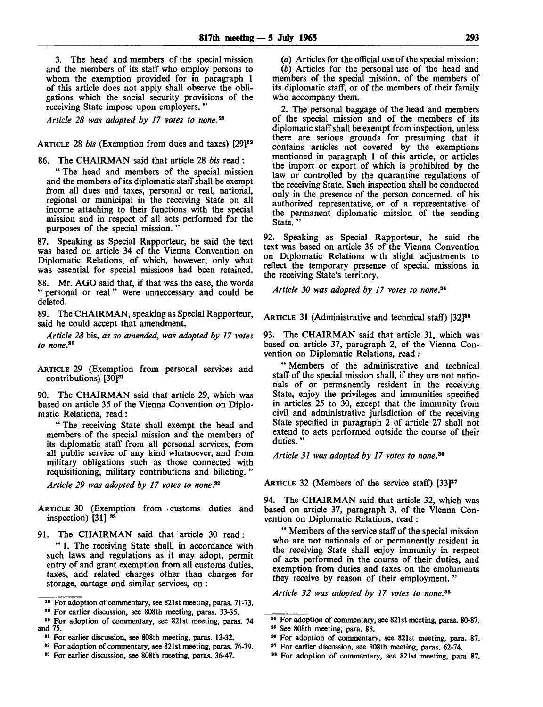3. The head and members of the special mission and the members of its staff who employ persons to whom the exemption provided for in paragraph 1 of this article does not apply shall observe the obligations which the social security provisions of the receiving State impose upon employers. "

*Article 28 was adopted by 17 votes to none. 2 \**

ARTICLE 28 *bis* (Exemption from dues and taxes) [29]<sup>29</sup>

86. The CHAIRMAN said that article 28 *bis* read :

" The head and members of the special mission and the members of its diplomatic staff shall be exempt from all dues and taxes, personal or real, national, regional or municipal in the receiving State on all income attaching to their functions with the special mission and in respect of all acts performed for the purposes of the special mission. "

87. Speaking as Special Rapporteur, he said the text was based on article 34 of the Vienna Convention on Diplomatic Relations, of which, however, only what was essential for special missions had been retained.

88. Mr. AGO said that, if that was the case, the words " personal or real " were unneccessary and could be deleted.

89. The CHAIRMAN, speaking as Special Rapporteur, said he could accept that amendment.

*Article 28* bis, *as so amended, was adopted by 17 votes to none. 30*

ARTICLE 29 (Exemption from personal services and contributions)  $[30]^{31}$ 

90. The CHAIRMAN said that article 29, which was based on article 35 of the Vienna Convention on Diplomatic Relations, read:

" The receiving State shall exempt the head and members of the special mission and the members of its diplomatic staff from all personal services, from all public service of any kind whatsoever, and from military obligations such as those connected with requisitioning, military contributions and billeting.

*Article 29 was adopted by 17 votes to none. 32*

ARTICLE 30 (Exemption from customs duties and inspection) [31] <sup>33</sup>

91. The CHAIRMAN said that article 30 read:

" 1. The receiving State shall, in accordance with such laws and regulations as it may adopt, permit entry of and grant exemption from all customs duties, taxes, and related charges other than charges for storage, cartage and similar services, on:

<sup>30</sup> For adoption of commentary, see 821st meeting, paras. 74 and 75.

*(a)* Articles for the official use of the special mission; *(b)* Articles for the personal use of the head and members of the special mission, of the members of its diplomatic staff, or of the members of their family who accompany them.

2. The personal baggage of the head and members of the special mission and of the members of its diplomatic staff shall be exempt from inspection, unless there are serious grounds for presuming that it contains articles not covered by the exemptions mentioned in paragraph 1 of this article, or articles the import or export of which is prohibited by the law or controlled by the quarantine regulations of the receiving State. Such inspection shall be conducted only in the presence of the person concerned, of his authorized representative, or of a representative of the permanent diplomatic mission of the sending State."

92. Speaking as Special Rapporteur, he said the text was based on article 36 of the Vienna Convention on Diplomatic Relations with slight adjustments to reflect the temporary presence of special missions in the receiving State's territory.

*Article 30 was adopted by 17 votes to none 3i*

ARTICLE 31 (Administrative and technical staff) [32]<sup>85</sup>

93. The CHAIRMAN said that article 31, which was based on article 37, paragraph 2, of the Vienna Convention on Diplomatic Relations, read :

" Members of the administrative and technical staff of the special mission shall, if they are not nationals of or permanently resident in the receiving State, enjoy the privileges and immunities specified in articles 25 to 30, except that the immunity from civil and administrative jurisdiction of the receiving State specified in paragraph 2 of article 27 shall not extend to acts performed outside the course of their duties."

*Article 31 was adopted by 17 votes to none. 39*

ARTICLE 32 (Members of the service staff) [33]<sup>37</sup>

94. The CHAIRMAN said that article 32, which was based on article 37, paragraph 3, of the Vienna Convention on Diplomatic Relations, read :

" Members of the service staff of the special mission who are not nationals of or permanently resident in the receiving State shall enjoy immunity in respect of acts performed in the course of their duties, and exemption from duties and taxes on the emoluments they receive by reason of their employment. "

*Article 32 was adopted by 17 votes to none. 39*

<sup>&</sup>lt;sup>28</sup> For adoption of commentary, see 821st meeting, paras. 71-73.

<sup>&</sup>lt;sup>29</sup> For earlier discussion, see 808th meeting, paras. 33-35.

<sup>&</sup>lt;sup>31</sup> For earlier discussion, see 808th meeting, paras. 13-32.

<sup>82</sup> For adoption of commentary, see 821st meeting, paras. 76-79.

<sup>&</sup>lt;sup>33</sup> For earlier discussion, see 808th meeting, paras. 36-47.

<sup>84</sup> For adoption of commentary, see 821st meeting, paras. 80-87.

<sup>86</sup> See 808th meeting, para. 88.

<sup>&</sup>lt;sup>36</sup> For adoption of commentary, see 821st meeting, para. 87.

<sup>&</sup>lt;sup>87</sup> For earlier discussion, see 808th meeting, paras. 62-74.

<sup>&</sup>lt;sup>38</sup> For adoption of commentary, see 821st meeting, para 87.